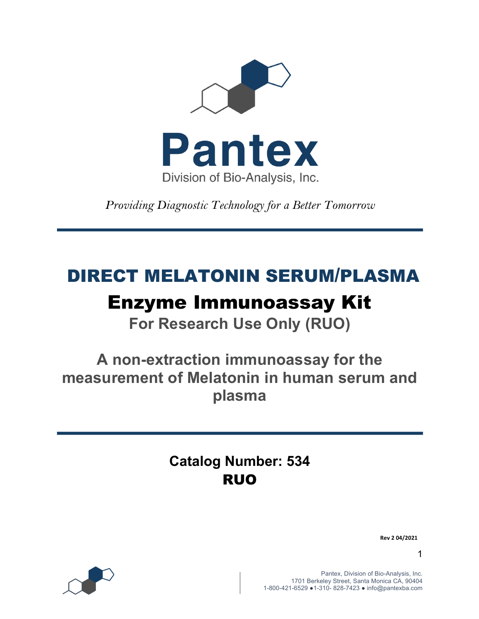

*Providing Diagnostic Technology for a Better Tomorrow* 

# DIRECT MELATONIN SERUM/PLASMA

# Enzyme Immunoassay Kit

**For Research Use Only (RUO)**

**A non-extraction immunoassay for the measurement of Melatonin in human serum and plasma**

> **Catalog Number: 534** RUO

> > **Rev 2 04/2021**

1



Pantex, Division of Bio-Analysis, Inc. 1701 Berkeley Street, Santa Monica CA, 90404 1-800-421-6529 ●1-310- 828-7423 ● info@pantexba.com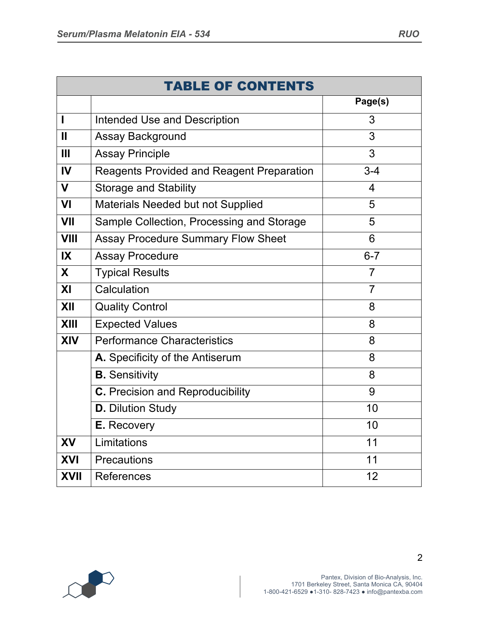|                         | <b>TABLE OF CONTENTS</b>                         |                |  |  |  |  |  |
|-------------------------|--------------------------------------------------|----------------|--|--|--|--|--|
|                         |                                                  | Page(s)        |  |  |  |  |  |
| I                       | <b>Intended Use and Description</b>              | 3              |  |  |  |  |  |
| Ш                       | <b>Assay Background</b>                          | 3              |  |  |  |  |  |
| Ш                       | <b>Assay Principle</b>                           | 3              |  |  |  |  |  |
| IV                      | <b>Reagents Provided and Reagent Preparation</b> | $3 - 4$        |  |  |  |  |  |
| $\mathbf V$             | <b>Storage and Stability</b>                     | 4              |  |  |  |  |  |
| VI                      | Materials Needed but not Supplied                | 5              |  |  |  |  |  |
| VII                     | Sample Collection, Processing and Storage        | 5              |  |  |  |  |  |
| <b>VIII</b>             | <b>Assay Procedure Summary Flow Sheet</b>        | 6              |  |  |  |  |  |
| $\mathsf{I} \mathsf{X}$ | <b>Assay Procedure</b>                           | $6 - 7$        |  |  |  |  |  |
| X                       | <b>Typical Results</b>                           | 7              |  |  |  |  |  |
| XI                      | Calculation                                      | $\overline{7}$ |  |  |  |  |  |
| XII                     | <b>Quality Control</b>                           | 8              |  |  |  |  |  |
| <b>XIII</b>             | <b>Expected Values</b>                           | 8              |  |  |  |  |  |
| XIV                     | <b>Performance Characteristics</b>               | 8              |  |  |  |  |  |
|                         | A. Specificity of the Antiserum                  | 8              |  |  |  |  |  |
|                         | <b>B.</b> Sensitivity                            | 8              |  |  |  |  |  |
|                         | C. Precision and Reproducibility                 | 9              |  |  |  |  |  |
|                         | <b>D.</b> Dilution Study                         | 10             |  |  |  |  |  |
|                         | E. Recovery                                      | 10             |  |  |  |  |  |
| XV                      | Limitations                                      | 11             |  |  |  |  |  |
| XVI                     | Precautions                                      | 11             |  |  |  |  |  |
| <b>XVII</b>             | <b>References</b>                                | 12             |  |  |  |  |  |



2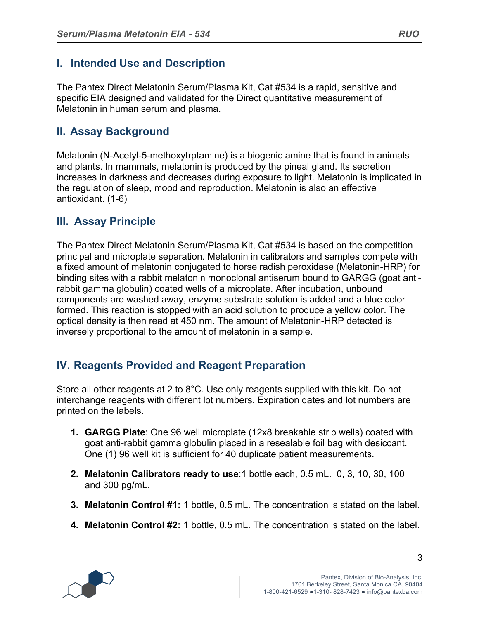## **I. Intended Use and Description**

The Pantex Direct Melatonin Serum/Plasma Kit, Cat #534 is a rapid, sensitive and specific EIA designed and validated for the Direct quantitative measurement of Melatonin in human serum and plasma.

# **II. Assay Background**

Melatonin (N-Acetyl-5-methoxytrptamine) is a biogenic amine that is found in animals and plants. In mammals, melatonin is produced by the pineal gland. Its secretion increases in darkness and decreases during exposure to light. Melatonin is implicated in the regulation of sleep, mood and reproduction. Melatonin is also an effective antioxidant. (1-6)

## **III. Assay Principle**

The Pantex Direct Melatonin Serum/Plasma Kit, Cat #534 is based on the competition principal and microplate separation. Melatonin in calibrators and samples compete with a fixed amount of melatonin conjugated to horse radish peroxidase (Melatonin-HRP) for binding sites with a rabbit melatonin monoclonal antiserum bound to GARGG (goat antirabbit gamma globulin) coated wells of a microplate. After incubation, unbound components are washed away, enzyme substrate solution is added and a blue color formed. This reaction is stopped with an acid solution to produce a yellow color. The optical density is then read at 450 nm. The amount of Melatonin-HRP detected is inversely proportional to the amount of melatonin in a sample.

# **IV. Reagents Provided and Reagent Preparation**

Store all other reagents at 2 to 8°C. Use only reagents supplied with this kit. Do not interchange reagents with different lot numbers. Expiration dates and lot numbers are printed on the labels.

- **1. GARGG Plate**: One 96 well microplate (12x8 breakable strip wells) coated with goat anti-rabbit gamma globulin placed in a resealable foil bag with desiccant. One (1) 96 well kit is sufficient for 40 duplicate patient measurements.
- **2. Melatonin Calibrators ready to use**:1 bottle each, 0.5 mL. 0, 3, 10, 30, 100 and 300 pg/mL.
- **3. Melatonin Control #1:** 1 bottle, 0.5 mL. The concentration is stated on the label.
- **4. Melatonin Control #2:** 1 bottle, 0.5 mL. The concentration is stated on the label.

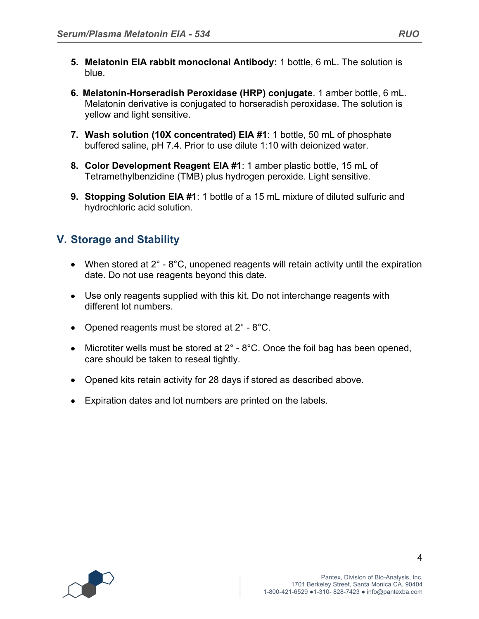- **5. Melatonin EIA rabbit monoclonal Antibody:** 1 bottle, 6 mL. The solution is blue.
- **6. Melatonin-Horseradish Peroxidase (HRP) conjugate**. 1 amber bottle, 6 mL. Melatonin derivative is conjugated to horseradish peroxidase. The solution is yellow and light sensitive.
- **7. Wash solution (10X concentrated) EIA #1**: 1 bottle, 50 mL of phosphate buffered saline, pH 7.4. Prior to use dilute 1:10 with deionized water.
- **8. Color Development Reagent EIA #1**: 1 amber plastic bottle, 15 mL of Tetramethylbenzidine (TMB) plus hydrogen peroxide. Light sensitive.
- **9. Stopping Solution EIA #1**: 1 bottle of a 15 mL mixture of diluted sulfuric and hydrochloric acid solution.

# **V. Storage and Stability**

- When stored at  $2^\circ$   $8^\circ$ C, unopened reagents will retain activity until the expiration date. Do not use reagents beyond this date.
- Use only reagents supplied with this kit. Do not interchange reagents with different lot numbers.
- Opened reagents must be stored at  $2^{\circ}$  8°C.
- Microtiter wells must be stored at  $2^\circ$   $8^\circ$ C. Once the foil bag has been opened, care should be taken to reseal tightly.
- Opened kits retain activity for 28 days if stored as described above.
- Expiration dates and lot numbers are printed on the labels.

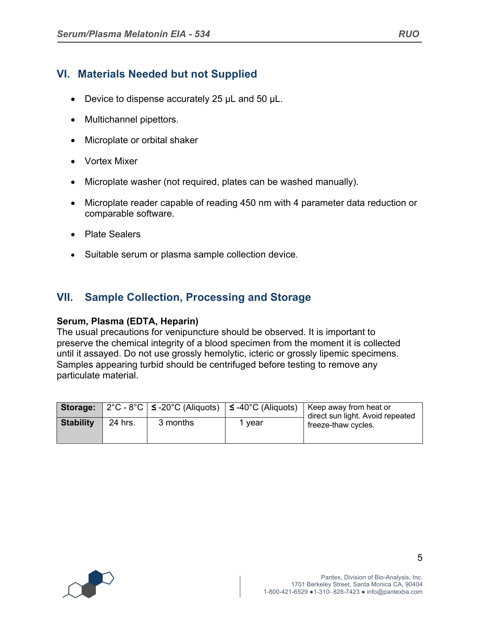## **VI. Materials Needed but not Supplied**

- Device to dispense accurately 25 µL and 50 µL.
- Multichannel pipettors.
- Microplate or orbital shaker
- Vortex Mixer
- Microplate washer (not required, plates can be washed manually).
- Microplate reader capable of reading 450 nm with 4 parameter data reduction or comparable software.
- Plate Sealers
- Suitable serum or plasma sample collection device.

## **VII. Sample Collection, Processing and Storage**

#### **Serum, Plasma (EDTA, Heparin)**

The usual precautions for venipuncture should be observed. It is important to preserve the chemical integrity of a blood specimen from the moment it is collected until it assayed. Do not use grossly hemolytic, icteric or grossly lipemic specimens. Samples appearing turbid should be centrifuged before testing to remove any particulate material.

|                  |         | <b>Storage:</b> $2^{\circ}C - 8^{\circ}C$   $\leq$ -20 <sup>°</sup> C (Aliquots)   $\leq$ -40 <sup>°</sup> C (Aliquots) |        | Keep away from heat or<br>direct sun light. Avoid repeated |
|------------------|---------|-------------------------------------------------------------------------------------------------------------------------|--------|------------------------------------------------------------|
| <b>Stability</b> | 24 hrs. | 3 months                                                                                                                | , vear | freeze-thaw cycles.                                        |



5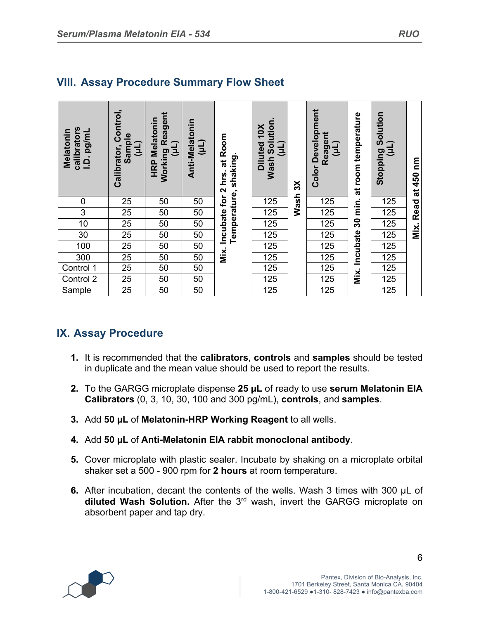| calibrators<br>pg/mL<br><b>Melatonin</b><br>$\dot{q}$ | Control,<br>Sample<br>Calibrator,<br>ᆯ | <b>Working Reagent</b><br><b>HRP Melatonin</b><br>(TM) | Anti-Melatonin<br>(11) | Incubate for 2 hrs. at Room<br>Temperature, shaking. | Solution.<br>10X<br><b>Diluted</b><br>[L<br>Ε<br><b>Wash</b> | $\mathsf{X}$ | Development<br>Reagent<br>(11)<br>Color | room temperature<br>ಕ | Stopping Solution<br>(Tn) | ξ<br>at 450 |
|-------------------------------------------------------|----------------------------------------|--------------------------------------------------------|------------------------|------------------------------------------------------|--------------------------------------------------------------|--------------|-----------------------------------------|-----------------------|---------------------------|-------------|
| $\mathbf 0$                                           | 25                                     | 50                                                     | 50                     |                                                      | 125                                                          | <b>Wash</b>  | 125                                     | min.                  | 125                       |             |
| $\mathfrak{S}$                                        | 25                                     | 50                                                     | 50                     |                                                      | 125                                                          |              | 125                                     |                       | 125                       | Read        |
| 10                                                    | 25                                     | 50                                                     | 50                     |                                                      | 125                                                          |              | 125                                     | 30                    | 125                       |             |
| 30                                                    | 25                                     | 50                                                     | 50                     |                                                      | 125                                                          |              | 125                                     |                       | 125                       | Mix.        |
| 100                                                   | 25                                     | 50                                                     | 50                     |                                                      | 125                                                          |              | 125                                     | Incubate              | 125                       |             |
| 300                                                   | 25                                     | 50                                                     | 50                     | Mix.                                                 | 125                                                          |              | 125                                     |                       | 125                       |             |
| Control 1                                             | 25                                     | 50                                                     | 50                     |                                                      | 125                                                          |              | 125                                     |                       | 125                       |             |
| Control 2                                             | 25                                     | 50                                                     | 50                     |                                                      | 125                                                          |              | 125                                     | Mix.                  | 125                       |             |
| Sample                                                | 25                                     | 50                                                     | 50                     |                                                      | 125                                                          |              | 125                                     |                       | 125                       |             |

# **VIII. Assay Procedure Summary Flow Sheet**

## **IX. Assay Procedure**

- **1.** It is recommended that the **calibrators**, **controls** and **samples** should be tested in duplicate and the mean value should be used to report the results.
- **2.** To the GARGG microplate dispense **25 µL** of ready to use **serum Melatonin EIA Calibrators** (0, 3, 10, 30, 100 and 300 pg/mL), **controls**, and **samples**.
- **3.** Add **50 µL** of **Melatonin-HRP Working Reagent** to all wells.
- **4.** Add **50 µL** of **Anti-Melatonin EIA rabbit monoclonal antibody**.
- **5.** Cover microplate with plastic sealer. Incubate by shaking on a microplate orbital shaker set a 500 - 900 rpm for **2 hours** at room temperature.
- **6.** After incubation, decant the contents of the wells. Wash 3 times with 300 µL of **diluted Wash Solution.** After the 3rd wash, invert the GARGG microplate on absorbent paper and tap dry.

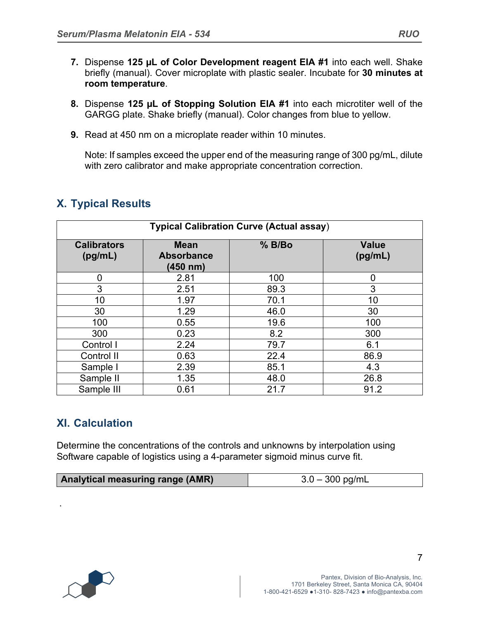- **7.** Dispense **125 µL of Color Development reagent EIA #1** into each well. Shake briefly (manual). Cover microplate with plastic sealer. Incubate for **30 minutes at room temperature**.
- **8.** Dispense **125 µL of Stopping Solution EIA #1** into each microtiter well of the GARGG plate. Shake briefly (manual). Color changes from blue to yellow.
- **9.** Read at 450 nm on a microplate reader within 10 minutes.

Note: If samples exceed the upper end of the measuring range of 300 pg/mL, dilute with zero calibrator and make appropriate concentration correction.

| <b>Typical Calibration Curve (Actual assay)</b> |                                              |          |                         |  |  |  |
|-------------------------------------------------|----------------------------------------------|----------|-------------------------|--|--|--|
| <b>Calibrators</b><br>(pg/mL)                   | <b>Mean</b><br><b>Absorbance</b><br>(450 nm) | $%$ B/Bo | <b>Value</b><br>(pg/mL) |  |  |  |
| $\overline{0}$                                  | 2.81                                         | 100      | $\overline{0}$          |  |  |  |
| 3                                               | 2.51                                         | 89.3     | 3                       |  |  |  |
| 10                                              | 1.97                                         | 70.1     | 10                      |  |  |  |
| 30                                              | 1.29                                         | 46.0     | 30                      |  |  |  |
| 100                                             | 0.55                                         | 19.6     | 100                     |  |  |  |
| 300                                             | 0.23                                         | 8.2      | 300                     |  |  |  |
| Control I                                       | 2.24                                         | 79.7     | 6.1                     |  |  |  |
| Control II                                      | 0.63                                         | 22.4     | 86.9                    |  |  |  |
| Sample I                                        | 2.39                                         | 85.1     | 4.3                     |  |  |  |
| Sample II                                       | 1.35                                         | 48.0     | 26.8                    |  |  |  |
| Sample III                                      | 0.61                                         | 21.7     | 91.2                    |  |  |  |

# **X. Typical Results**

# **XI. Calculation**

Determine the concentrations of the controls and unknowns by interpolation using Software capable of logistics using a 4-parameter sigmoid minus curve fit.

| Analytical measuring range (AMR) | $3.0 - 300$ pg/mL |
|----------------------------------|-------------------|
|----------------------------------|-------------------|



.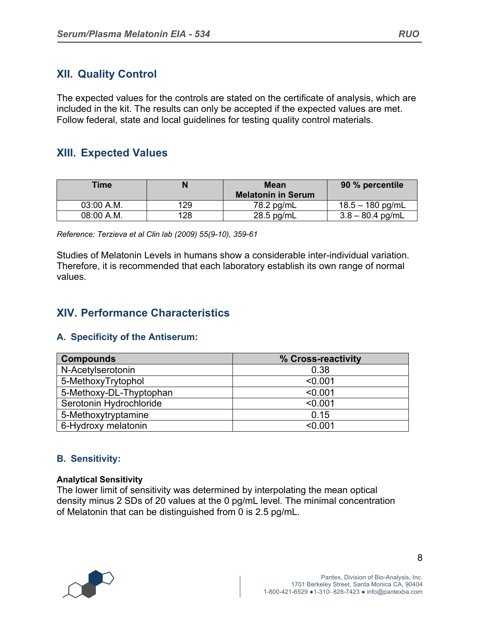## **XII. Quality Control**

The expected values for the controls are stated on the certificate of analysis, which are included in the kit. The results can only be accepted if the expected values are met. Follow federal, state and local guidelines for testing quality control materials.

## **XIII. Expected Values**

| <b>Time</b> |     | <b>Mean</b><br><b>Melatonin in Serum</b> | 90 % percentile    |
|-------------|-----|------------------------------------------|--------------------|
| 03:00 A.M.  | 129 | 78.2 pg/mL                               | $18.5 - 180$ pg/mL |
| 08:00 A.M.  | 128 | $28.5$ pg/mL                             | $3.8 - 80.4$ pg/mL |

*Reference: Terzieva et al Clin lab (2009) 55(9-10), 359-61*

Studies of Melatonin Levels in humans show a considerable inter-individual variation. Therefore, it is recommended that each laboratory establish its own range of normal values.

## **XIV. Performance Characteristics**

#### **A. Specificity of the Antiserum:**

| <b>Compounds</b>        | % Cross-reactivity |
|-------------------------|--------------------|
| N-Acetylserotonin       | 0.38               |
| 5-MethoxyTrytophol      | < 0.001            |
| 5-Methoxy-DL-Thyptophan | < 0.001            |
| Serotonin Hydrochloride | < 0.001            |
| 5-Methoxytryptamine     | 0.15               |
| 6-Hydroxy melatonin     | < 0.001            |

### **B. Sensitivity:**

#### **Analytical Sensitivity**

The lower limit of sensitivity was determined by interpolating the mean optical density minus 2 SDs of 20 values at the 0 pg/mL level. The minimal concentration of Melatonin that can be distinguished from 0 is 2.5 pg/mL.



8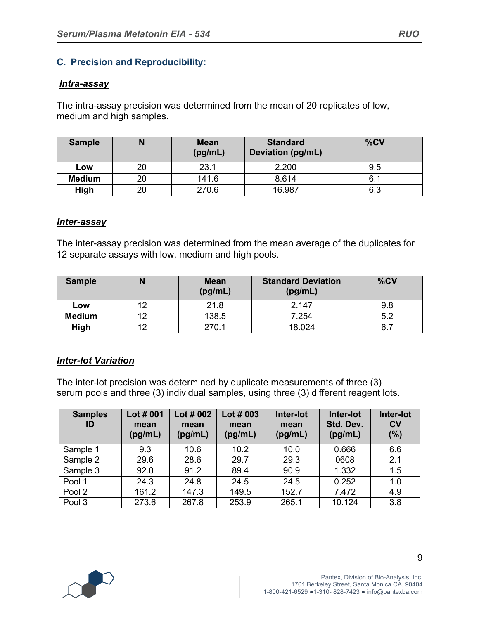### **C. Precision and Reproducibility:**

#### *Intra-assay*

The intra-assay precision was determined from the mean of 20 replicates of low, medium and high samples.

| <b>Sample</b> |    | <b>Mean</b><br>(pg/mL) | <b>Standard</b><br><b>Deviation (pg/mL)</b> | %CV |
|---------------|----|------------------------|---------------------------------------------|-----|
| Low           | 20 | 23.1                   | 2.200                                       | 9.5 |
| <b>Medium</b> | 20 | 141.6                  | 8.614                                       | 6.  |
| High          | 20 | 270.6                  | 16.987                                      | 6.3 |

#### *Inter-assay*

The inter-assay precision was determined from the mean average of the duplicates for 12 separate assays with low, medium and high pools.

| <b>Sample</b> |     | <b>Mean</b><br>(pg/mL) | <b>Standard Deviation</b><br>(pg/mL) | %CV |
|---------------|-----|------------------------|--------------------------------------|-----|
| Low           | 10. | 21.8                   | 2.147                                | 9.8 |
| <b>Medium</b> | 10  | 138.5                  | 7.254                                | 5.2 |
| High          | າາ  | 270.1                  | 18.024                               | 6.  |

#### *Inter-lot Variation*

The inter-lot precision was determined by duplicate measurements of three (3) serum pools and three (3) individual samples, using three (3) different reagent lots.

| <b>Samples</b><br>ID | Lot # 001<br>mean<br>(pg/mL) | Lot $#002$<br>mean<br>(pg/mL) | Lot $#003$<br>mean<br>(pg/mL) | Inter-lot<br>mean<br>(pg/mL) | Inter-lot<br>Std. Dev.<br>(pg/mL) | Inter-lot<br>$c_{V}$<br>(%) |
|----------------------|------------------------------|-------------------------------|-------------------------------|------------------------------|-----------------------------------|-----------------------------|
| Sample 1             | 9.3                          | 10.6                          | 10.2                          | 10.0                         | 0.666                             | 6.6                         |
| Sample 2             | 29.6                         | 28.6                          | 29.7                          | 29.3                         | 0608                              | 2.1                         |
| Sample 3             | 92.0                         | 91.2                          | 89.4                          | 90.9                         | 1.332                             | 1.5                         |
| Pool 1               | 24.3                         | 24.8                          | 24.5                          | 24.5                         | 0.252                             | 1.0                         |
| Pool 2               | 161.2                        | 147.3                         | 149.5                         | 152.7                        | 7.472                             | 4.9                         |
| Pool 3               | 273.6                        | 267.8                         | 253.9                         | 265.1                        | 10.124                            | 3.8                         |

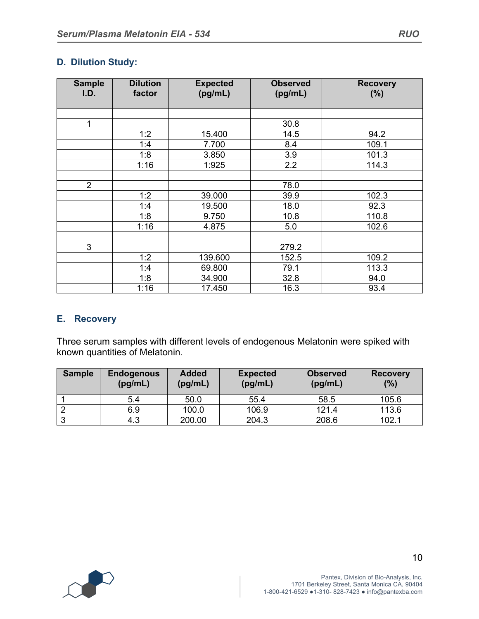### **D. Dilution Study:**

| <b>Sample</b><br>I.D. | <b>Dilution</b><br>factor | <b>Expected</b><br>(pg/mL) | <b>Observed</b><br>(pg/mL) | <b>Recovery</b><br>(%) |
|-----------------------|---------------------------|----------------------------|----------------------------|------------------------|
|                       |                           |                            |                            |                        |
| $\mathbf{1}$          |                           |                            | 30.8                       |                        |
|                       | 1:2                       | 15.400                     | 14.5                       | 94.2                   |
|                       | 1:4                       | 7.700                      | 8.4                        | 109.1                  |
|                       | 1:8                       | 3.850                      | 3.9                        | 101.3                  |
|                       | 1:16                      | 1:925                      | 2.2                        | 114.3                  |
|                       |                           |                            |                            |                        |
| $\overline{2}$        |                           |                            | 78.0                       |                        |
|                       | 1:2                       | 39.000                     | 39.9                       | 102.3                  |
|                       | 1:4                       | 19.500                     | 18.0                       | 92.3                   |
|                       | 1:8                       | 9.750                      | 10.8                       | 110.8                  |
|                       | 1:16                      | 4.875                      | 5.0                        | 102.6                  |
|                       |                           |                            |                            |                        |
| 3                     |                           |                            | 279.2                      |                        |
|                       | 1:2                       | 139.600                    | 152.5                      | 109.2                  |
|                       | 1:4                       | 69.800                     | 79.1                       | 113.3                  |
|                       | 1:8                       | 34.900                     | 32.8                       | 94.0                   |
|                       | 1:16                      | 17.450                     | 16.3                       | 93.4                   |

#### **E. Recovery**

Three serum samples with different levels of endogenous Melatonin were spiked with known quantities of Melatonin.

| <b>Sample</b> | <b>Endogenous</b><br>(pg/mL) | <b>Added</b><br>(pg/mL) | <b>Expected</b><br>(pg/mL) | <b>Observed</b><br>(pg/mL) | <b>Recovery</b><br>(%) |
|---------------|------------------------------|-------------------------|----------------------------|----------------------------|------------------------|
|               | 5.4                          | 50.0                    | 55.4                       | 58.5                       | 105.6                  |
|               | 6.9                          | 100.0                   | 106.9                      | 121.4                      | 113.6                  |
|               | 4.3                          | 200.00                  | 204.3                      | 208.6                      | 102.1                  |

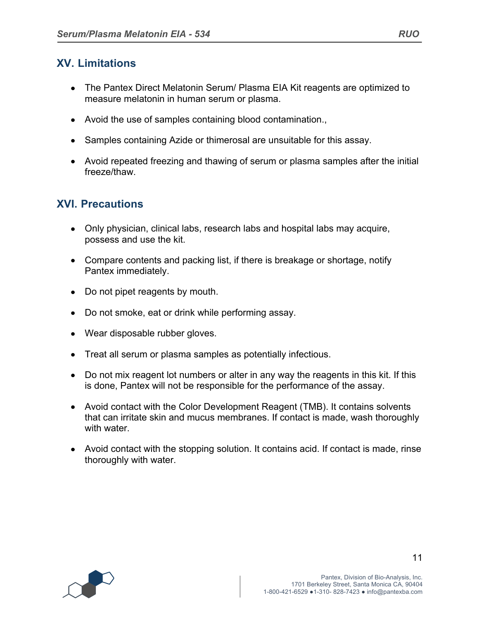# **XV. Limitations**

- The Pantex Direct Melatonin Serum/ Plasma EIA Kit reagents are optimized to measure melatonin in human serum or plasma.
- Avoid the use of samples containing blood contamination.,
- Samples containing Azide or thimerosal are unsuitable for this assay.
- Avoid repeated freezing and thawing of serum or plasma samples after the initial freeze/thaw.

## **XVI. Precautions**

- Only physician, clinical labs, research labs and hospital labs may acquire, possess and use the kit.
- Compare contents and packing list, if there is breakage or shortage, notify Pantex immediately.
- Do not pipet reagents by mouth.
- Do not smoke, eat or drink while performing assay.
- Wear disposable rubber gloves.
- Treat all serum or plasma samples as potentially infectious.
- Do not mix reagent lot numbers or alter in any way the reagents in this kit. If this is done, Pantex will not be responsible for the performance of the assay.
- Avoid contact with the Color Development Reagent (TMB). It contains solvents that can irritate skin and mucus membranes. If contact is made, wash thoroughly with water.
- Avoid contact with the stopping solution. It contains acid. If contact is made, rinse thoroughly with water.